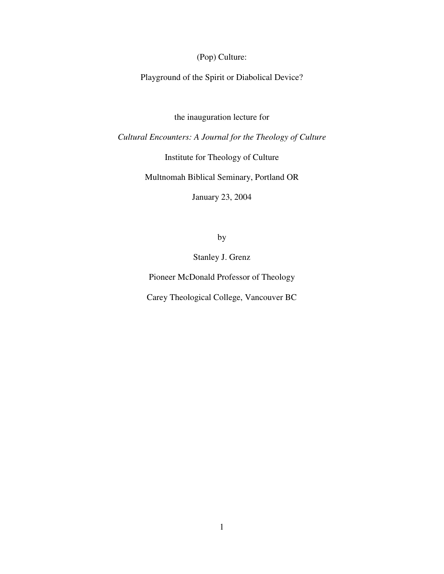(Pop) Culture:

Playground of the Spirit or Diabolical Device?

the inauguration lecture for

*Cultural Encounters: A Journal for the Theology of Culture*

Institute for Theology of Culture

Multnomah Biblical Seminary, Portland OR

January 23, 2004

by

Stanley J. Grenz

Pioneer McDonald Professor of Theology

Carey Theological College, Vancouver BC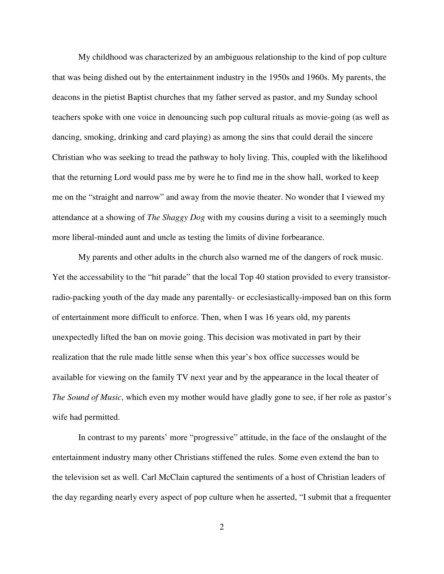My childhood was characterized by an ambiguous relationship to the kind of pop culture that was being dished out by the entertainment industry in the 1950s and 1960s. My parents, the deacons in the pietist Baptist churches that my father served as pastor, and my Sunday school teachers spoke with one voice in denouncing such pop cultural rituals as movie-going (as well as dancing, smoking, drinking and card playing) as among the sins that could derail the sincere Christian who was seeking to tread the pathway to holy living. This, coupled with the likelihood that the returning Lord would pass me by were he to find me in the show hall, worked to keep me on the "straight and narrow" and away from the movie theater. No wonder that I viewed my attendance at a showing of *The Shaggy Dog* with my cousins during a visit to a seemingly much more liberal-minded aunt and uncle as testing the limits of divine forbearance.

My parents and other adults in the church also warned me of the dangers of rock music. Yet the accessability to the "hit parade" that the local Top 40 station provided to every transistorradio-packing youth of the day made any parentally- or ecclesiastically-imposed ban on this form of entertainment more difficult to enforce. Then, when I was 16 years old, my parents unexpectedly lifted the ban on movie going. This decision was motivated in part by their realization that the rule made little sense when this year's box office successes would be available for viewing on the family TV next year and by the appearance in the local theater of *The Sound of Music*, which even my mother would have gladly gone to see, if her role as pastor's wife had permitted.

In contrast to my parents' more "progressive" attitude, in the face of the onslaught of the entertainment industry many other Christians stiffened the rules. Some even extend the ban to the television set as well. Carl McClain captured the sentiments of a host of Christian leaders of the day regarding nearly every aspect of pop culture when he asserted, "I submit that a frequenter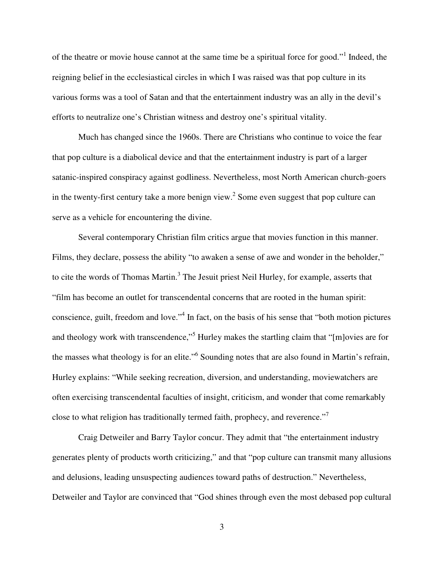of the theatre or movie house cannot at the same time be a spiritual force for good."<sup>1</sup> Indeed, the reigning belief in the ecclesiastical circles in which I was raised was that pop culture in its various forms was a tool of Satan and that the entertainment industry was an ally in the devil's efforts to neutralize one's Christian witness and destroy one's spiritual vitality.

Much has changed since the 1960s. There are Christians who continue to voice the fear that pop culture is a diabolical device and that the entertainment industry is part of a larger satanic-inspired conspiracy against godliness. Nevertheless, most North American church-goers in the twenty-first century take a more benign view.<sup>2</sup> Some even suggest that pop culture can serve as a vehicle for encountering the divine.

Several contemporary Christian film critics argue that movies function in this manner. Films, they declare, possess the ability "to awaken a sense of awe and wonder in the beholder," to cite the words of Thomas Martin.<sup>3</sup> The Jesuit priest Neil Hurley, for example, asserts that "film has become an outlet for transcendental concerns that are rooted in the human spirit: conscience, guilt, freedom and love." 4 In fact, on the basis of his sense that "both motion pictures and theology work with transcendence,"<sup>5</sup> Hurley makes the startling claim that "[m]ovies are for the masses what theology is for an elite."<sup>6</sup> Sounding notes that are also found in Martin's refrain, Hurley explains: "While seeking recreation, diversion, and understanding, moviewatchers are often exercising transcendental faculties of insight, criticism, and wonder that come remarkably close to what religion has traditionally termed faith, prophecy, and reverence."<sup>7</sup>

Craig Detweiler and Barry Taylor concur. They admit that "the entertainment industry generates plenty of products worth criticizing," and that "pop culture can transmit many allusions and delusions, leading unsuspecting audiences toward paths of destruction." Nevertheless, Detweiler and Taylor are convinced that "God shines through even the most debased pop cultural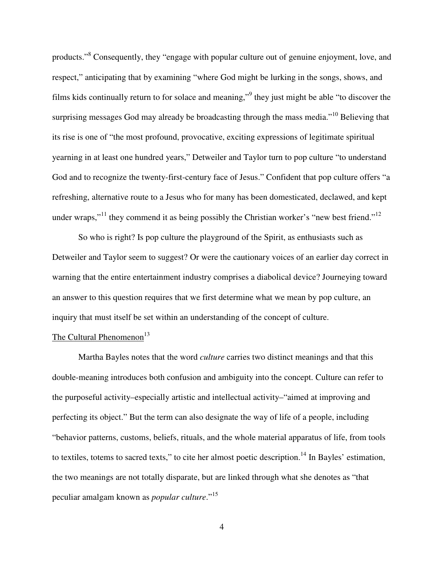products."<sup>8</sup> Consequently, they "engage with popular culture out of genuine enjoyment, love, and respect," anticipating that by examining "where God might be lurking in the songs, shows, and films kids continually return to for solace and meaning," they just might be able "to discover the surprising messages God may already be broadcasting through the mass media."<sup>10</sup> Believing that its rise is one of "the most profound, provocative, exciting expressions of legitimate spiritual yearning in at least one hundred years," Detweiler and Taylor turn to pop culture "to understand God and to recognize the twenty-first-century face of Jesus." Confident that pop culture offers "a refreshing, alternative route to a Jesus who for many has been domesticated, declawed, and kept under wraps,"<sup>11</sup> they commend it as being possibly the Christian worker's "new best friend."<sup>12</sup>

So who is right? Is pop culture the playground of the Spirit, as enthusiasts such as Detweiler and Taylor seem to suggest? Or were the cautionary voices of an earlier day correct in warning that the entire entertainment industry comprises a diabolical device? Journeying toward an answer to this question requires that we first determine what we mean by pop culture, an inquiry that must itself be set within an understanding of the concept of culture.

# The Cultural Phenomenon<sup>13</sup>

Martha Bayles notes that the word *culture* carries two distinct meanings and that this double-meaning introduces both confusion and ambiguity into the concept. Culture can refer to the purposeful activity–especially artistic and intellectual activity–"aimed at improving and perfecting its object." But the term can also designate the way of life of a people, including "behavior patterns, customs, beliefs, rituals, and the whole material apparatus of life, from tools to textiles, totems to sacred texts," to cite her almost poetic description.<sup>14</sup> In Bayles' estimation, the two meanings are not totally disparate, but are linked through what she denotes as "that peculiar amalgam known as *popular culture*." 15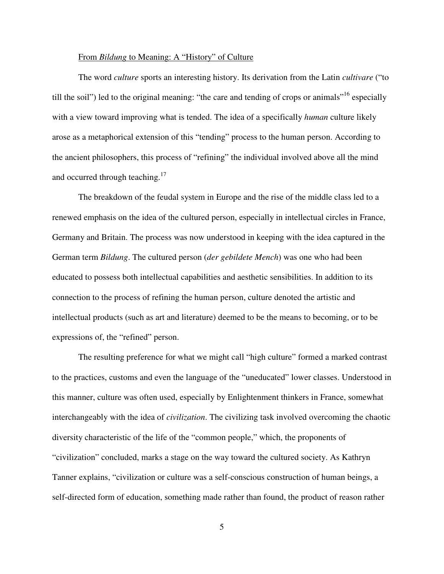## From *Bildung* to Meaning: A "History" of Culture

The word *culture* sports an interesting history. Its derivation from the Latin *cultivare* ("to till the soil") led to the original meaning: "the care and tending of crops or animals"<sup>16</sup> especially with a view toward improving what is tended. The idea of a specifically *human* culture likely arose as a metaphorical extension of this "tending" process to the human person. According to the ancient philosophers, this process of "refining" the individual involved above all the mind and occurred through teaching.<sup>17</sup>

The breakdown of the feudal system in Europe and the rise of the middle class led to a renewed emphasis on the idea of the cultured person, especially in intellectual circles in France, Germany and Britain. The process was now understood in keeping with the idea captured in the German term *Bildung*. The cultured person (*der gebildete Mench*) was one who had been educated to possess both intellectual capabilities and aesthetic sensibilities. In addition to its connection to the process of refining the human person, culture denoted the artistic and intellectual products (such as art and literature) deemed to be the means to becoming, or to be expressions of, the "refined" person.

The resulting preference for what we might call "high culture" formed a marked contrast to the practices, customs and even the language of the "uneducated" lower classes. Understood in this manner, culture was often used, especially by Enlightenment thinkers in France, somewhat interchangeably with the idea of *civilization*. The civilizing task involved overcoming the chaotic diversity characteristic of the life of the "common people," which, the proponents of "civilization" concluded, marks a stage on the way toward the cultured society. As Kathryn Tanner explains, "civilization or culture was a self-conscious construction of human beings, a self-directed form of education, something made rather than found, the product of reason rather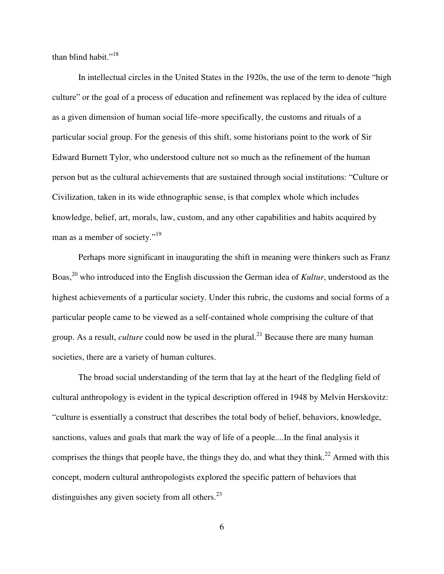than blind habit."<sup>18</sup>

In intellectual circles in the United States in the 1920s, the use of the term to denote "high culture" or the goal of a process of education and refinement was replaced by the idea of culture as a given dimension of human social life–more specifically, the customs and rituals of a particular social group. For the genesis of this shift, some historians point to the work of Sir Edward Burnett Tylor, who understood culture not so much as the refinement of the human person but as the cultural achievements that are sustained through social institutions: "Culture or Civilization, taken in its wide ethnographic sense, is that complex whole which includes knowledge, belief, art, morals, law, custom, and any other capabilities and habits acquired by man as a member of society."<sup>19</sup>

Perhaps more significant in inaugurating the shift in meaning were thinkers such as Franz Boas, 20 who introduced into the English discussion the German idea of *Kultur*, understood as the highest achievements of a particular society. Under this rubric, the customs and social forms of a particular people came to be viewed as a self-contained whole comprising the culture of that group. As a result, *culture* could now be used in the plural. <sup>21</sup> Because there are many human societies, there are a variety of human cultures.

The broad social understanding of the term that lay at the heart of the fledgling field of cultural anthropology is evident in the typical description offered in 1948 by Melvin Herskovitz: "culture is essentially a construct that describes the total body of belief, behaviors, knowledge, sanctions, values and goals that mark the way of life of a people....In the final analysis it comprises the things that people have, the things they do, and what they think.<sup>22</sup> Armed with this concept, modern cultural anthropologists explored the specific pattern of behaviors that distinguishes any given society from all others.<sup>23</sup>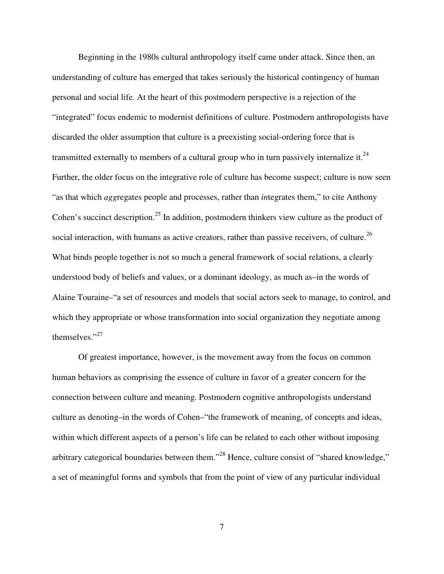Beginning in the 1980s cultural anthropology itself came under attack. Since then, an understanding of culture has emerged that takes seriously the historical contingency of human personal and social life. At the heart of this postmodern perspective is a rejection of the "integrated" focus endemic to modernist definitions of culture. Postmodern anthropologists have discarded the older assumption that culture is a preexisting social-ordering force that is transmitted externally to members of a cultural group who in turn passively internalize it.<sup>24</sup> Further, the older focus on the integrative role of culture has become suspect; culture is now seen "as that which *agg*regates people and processes, rather than *in*tegrates them," to cite Anthony Cohen's succinct description.<sup>25</sup> In addition, postmodern thinkers view culture as the product of social interaction, with humans as active creators, rather than passive receivers, of culture.<sup>26</sup> What binds people together is not so much a general framework of social relations, a clearly understood body of beliefs and values, or a dominant ideology, as much as–in the words of Alaine Touraine–"a set of resources and models that social actors seek to manage, to control, and which they appropriate or whose transformation into social organization they negotiate among themselves." 27

Of greatest importance, however, is the movement away from the focus on common human behaviors as comprising the essence of culture in favor of a greater concern for the connection between culture and meaning. Postmodern cognitive anthropologists understand culture as denoting–in the words of Cohen–"the framework of meaning, of concepts and ideas, within which different aspects of a person's life can be related to each other without imposing arbitrary categorical boundaries between them."<sup>28</sup> Hence, culture consist of "shared knowledge," a set of meaningful forms and symbols that from the point of view of any particular individual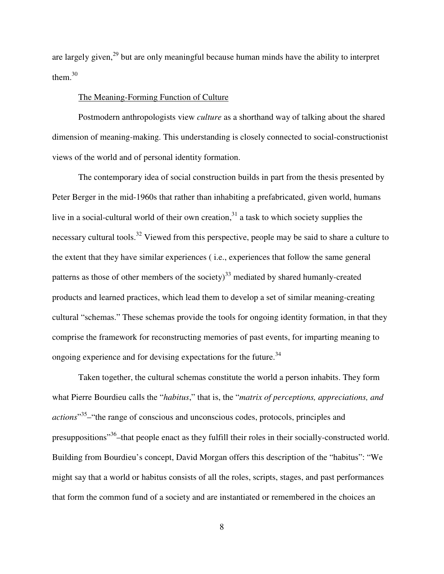are largely given,<sup>29</sup> but are only meaningful because human minds have the ability to interpret them. $30$ 

## The Meaning-Forming Function of Culture

Postmodern anthropologists view *culture* as a shorthand way of talking about the shared dimension of meaning-making. This understanding is closely connected to social-constructionist views of the world and of personal identity formation.

The contemporary idea of social construction builds in part from the thesis presented by Peter Berger in the mid-1960s that rather than inhabiting a prefabricated, given world, humans live in a social-cultural world of their own creation,<sup>31</sup> a task to which society supplies the necessary cultural tools.<sup>32</sup> Viewed from this perspective, people may be said to share a culture to the extent that they have similar experiences ( i.e., experiences that follow the same general patterns as those of other members of the society) $^{33}$  mediated by shared humanly-created products and learned practices, which lead them to develop a set of similar meaning-creating cultural "schemas." These schemas provide the tools for ongoing identity formation, in that they comprise the framework for reconstructing memories of past events, for imparting meaning to ongoing experience and for devising expectations for the future.<sup>34</sup>

Taken together, the cultural schemas constitute the world a person inhabits. They form what Pierre Bourdieu calls the "*habitus*," that is, the "*matrix of perceptions, appreciations, and actions*" 35 –"the range of conscious and unconscious codes, protocols, principles and presuppositions"<sup>36</sup> – that people enact as they fulfill their roles in their socially-constructed world. Building from Bourdieu's concept, David Morgan offers this description of the "habitus": "We might say that a world or habitus consists of all the roles, scripts, stages, and past performances that form the common fund of a society and are instantiated or remembered in the choices an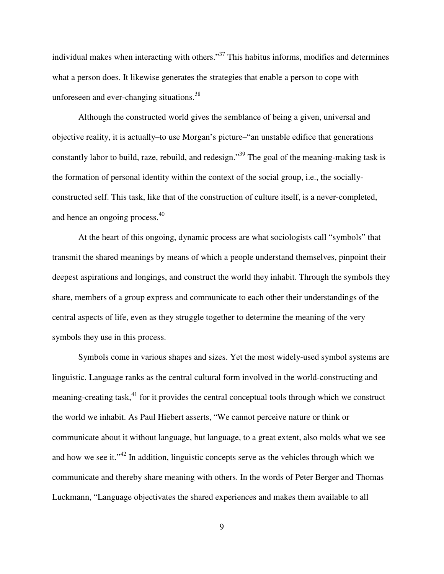individual makes when interacting with others."<sup>37</sup> This habitus informs, modifies and determines what a person does. It likewise generates the strategies that enable a person to cope with unforeseen and ever-changing situations.<sup>38</sup>

Although the constructed world gives the semblance of being a given, universal and objective reality, it is actually–to use Morgan's picture–"an unstable edifice that generations constantly labor to build, raze, rebuild, and redesign."<sup>39</sup> The goal of the meaning-making task is the formation of personal identity within the context of the social group, i.e., the sociallyconstructed self. This task, like that of the construction of culture itself, is a never-completed, and hence an ongoing process.<sup>40</sup>

At the heart of this ongoing, dynamic process are what sociologists call "symbols" that transmit the shared meanings by means of which a people understand themselves, pinpoint their deepest aspirations and longings, and construct the world they inhabit. Through the symbols they share, members of a group express and communicate to each other their understandings of the central aspects of life, even as they struggle together to determine the meaning of the very symbols they use in this process.

Symbols come in various shapes and sizes. Yet the most widely-used symbol systems are linguistic. Language ranks as the central cultural form involved in the world-constructing and meaning-creating task,<sup>41</sup> for it provides the central conceptual tools through which we construct the world we inhabit. As Paul Hiebert asserts, "We cannot perceive nature or think or communicate about it without language, but language, to a great extent, also molds what we see and how we see it."<sup>42</sup> In addition, linguistic concepts serve as the vehicles through which we communicate and thereby share meaning with others. In the words of Peter Berger and Thomas Luckmann, "Language objectivates the shared experiences and makes them available to all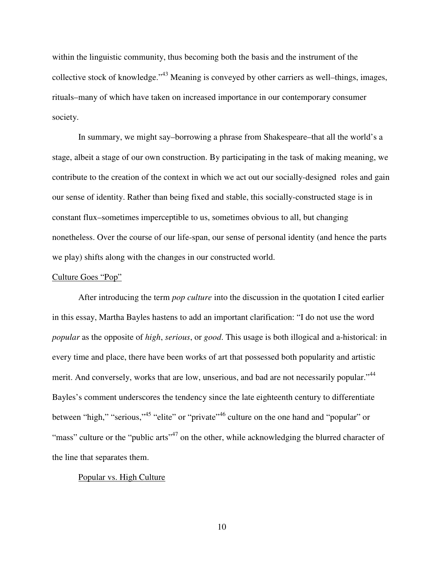within the linguistic community, thus becoming both the basis and the instrument of the collective stock of knowledge."<sup>43</sup> Meaning is conveyed by other carriers as well-things, images, rituals–many of which have taken on increased importance in our contemporary consumer society.

In summary, we might say–borrowing a phrase from Shakespeare–that all the world's a stage, albeit a stage of our own construction. By participating in the task of making meaning, we contribute to the creation of the context in which we act out our socially-designed roles and gain our sense of identity. Rather than being fixed and stable, this socially-constructed stage is in constant flux–sometimes imperceptible to us, sometimes obvious to all, but changing nonetheless. Over the course of our life-span, our sense of personal identity (and hence the parts we play) shifts along with the changes in our constructed world.

### Culture Goes "Pop"

After introducing the term *pop culture* into the discussion in the quotation I cited earlier in this essay, Martha Bayles hastens to add an important clarification: "I do not use the word *popular* as the opposite of *high*, *serious*, or *good*. This usage is both illogical and a-historical: in every time and place, there have been works of art that possessed both popularity and artistic merit. And conversely, works that are low, unserious, and bad are not necessarily popular."<sup>44</sup> Bayles's comment underscores the tendency since the late eighteenth century to differentiate between "high," "serious,"<sup>45</sup> "elite" or "private"<sup>46</sup> culture on the one hand and "popular" or "mass" culture or the "public arts"<sup>47</sup> on the other, while acknowledging the blurred character of the line that separates them.

## Popular vs. High Culture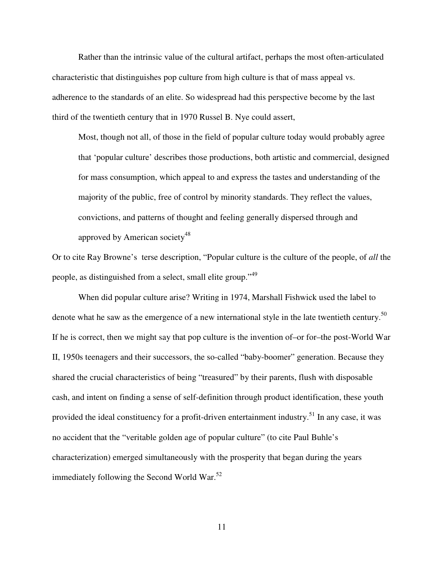Rather than the intrinsic value of the cultural artifact, perhaps the most often-articulated characteristic that distinguishes pop culture from high culture is that of mass appeal vs. adherence to the standards of an elite. So widespread had this perspective become by the last third of the twentieth century that in 1970 Russel B. Nye could assert,

Most, though not all, of those in the field of popular culture today would probably agree that 'popular culture' describes those productions, both artistic and commercial, designed for mass consumption, which appeal to and express the tastes and understanding of the majority of the public, free of control by minority standards. They reflect the values, convictions, and patterns of thought and feeling generally dispersed through and approved by American society<sup>48</sup>

Or to cite Ray Browne's terse description, "Popular culture is the culture of the people, of *all* the people, as distinguished from a select, small elite group."<sup>49</sup>

When did popular culture arise? Writing in 1974, Marshall Fishwick used the label to denote what he saw as the emergence of a new international style in the late twentieth century.<sup>50</sup> If he is correct, then we might say that pop culture is the invention of–or for–the post-World War II, 1950s teenagers and their successors, the so-called "baby-boomer" generation. Because they shared the crucial characteristics of being "treasured" by their parents, flush with disposable cash, and intent on finding a sense of self-definition through product identification, these youth provided the ideal constituency for a profit-driven entertainment industry.<sup>51</sup> In any case, it was no accident that the "veritable golden age of popular culture" (to cite Paul Buhle's characterization) emerged simultaneously with the prosperity that began during the years immediately following the Second World War.<sup>52</sup>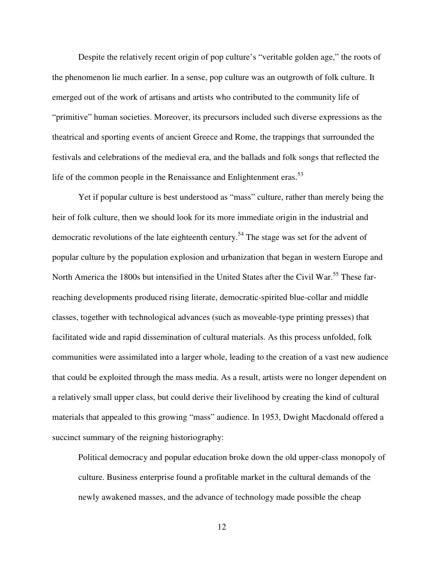Despite the relatively recent origin of pop culture's "veritable golden age," the roots of the phenomenon lie much earlier. In a sense, pop culture was an outgrowth of folk culture. It emerged out of the work of artisans and artists who contributed to the community life of "primitive" human societies. Moreover, its precursors included such diverse expressions as the theatrical and sporting events of ancient Greece and Rome, the trappings that surrounded the festivals and celebrations of the medieval era, and the ballads and folk songs that reflected the life of the common people in the Renaissance and Enlightenment eras.<sup>53</sup>

Yet if popular culture is best understood as "mass" culture, rather than merely being the heir of folk culture, then we should look for its more immediate origin in the industrial and democratic revolutions of the late eighteenth century.<sup>54</sup> The stage was set for the advent of popular culture by the population explosion and urbanization that began in western Europe and North America the 1800s but intensified in the United States after the Civil War.<sup>55</sup> These farreaching developments produced rising literate, democratic-spirited blue-collar and middle classes, together with technological advances (such as moveable-type printing presses) that facilitated wide and rapid dissemination of cultural materials. As this process unfolded, folk communities were assimilated into a larger whole, leading to the creation of a vast new audience that could be exploited through the mass media. As a result, artists were no longer dependent on a relatively small upper class, but could derive their livelihood by creating the kind of cultural materials that appealed to this growing "mass" audience. In 1953, Dwight Macdonald offered a succinct summary of the reigning historiography:

Political democracy and popular education broke down the old upper-class monopoly of culture. Business enterprise found a profitable market in the cultural demands of the newly awakened masses, and the advance of technology made possible the cheap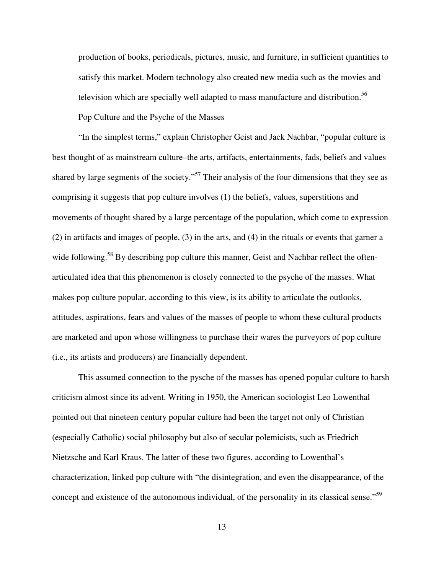production of books, periodicals, pictures, music, and furniture, in sufficient quantities to satisfy this market. Modern technology also created new media such as the movies and television which are specially well adapted to mass manufacture and distribution.<sup>56</sup>

## Pop Culture and the Psyche of the Masses

"In the simplest terms," explain Christopher Geist and Jack Nachbar, "popular culture is best thought of as mainstream culture–the arts, artifacts, entertainments, fads, beliefs and values shared by large segments of the society."<sup>57</sup> Their analysis of the four dimensions that they see as comprising it suggests that pop culture involves (1) the beliefs, values, superstitions and movements of thought shared by a large percentage of the population, which come to expression (2) in artifacts and images of people, (3) in the arts, and (4) in the rituals or events that garner a wide following.<sup>58</sup> By describing pop culture this manner, Geist and Nachbar reflect the oftenarticulated idea that this phenomenon is closely connected to the psyche of the masses. What makes pop culture popular, according to this view, is its ability to articulate the outlooks, attitudes, aspirations, fears and values of the masses of people to whom these cultural products are marketed and upon whose willingness to purchase their wares the purveyors of pop culture (i.e., its artists and producers) are financially dependent.

This assumed connection to the pysche of the masses has opened popular culture to harsh criticism almost since its advent. Writing in 1950, the American sociologist Leo Lowenthal pointed out that nineteen century popular culture had been the target not only of Christian (especially Catholic) social philosophy but also of secular polemicists, such as Friedrich Nietzsche and Karl Kraus. The latter of these two figures, according to Lowenthal's characterization, linked pop culture with "the disintegration, and even the disappearance, of the concept and existence of the autonomous individual, of the personality in its classical sense."<sup>59</sup>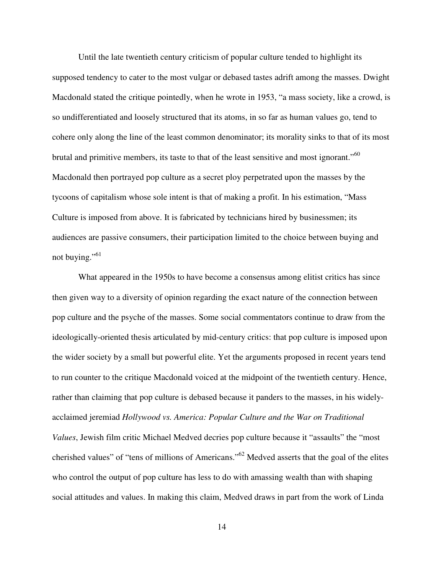Until the late twentieth century criticism of popular culture tended to highlight its supposed tendency to cater to the most vulgar or debased tastes adrift among the masses. Dwight Macdonald stated the critique pointedly, when he wrote in 1953, "a mass society, like a crowd, is so undifferentiated and loosely structured that its atoms, in so far as human values go, tend to cohere only along the line of the least common denominator; its morality sinks to that of its most brutal and primitive members, its taste to that of the least sensitive and most ignorant."<sup>60</sup> Macdonald then portrayed pop culture as a secret ploy perpetrated upon the masses by the tycoons of capitalism whose sole intent is that of making a profit. In his estimation, "Mass Culture is imposed from above. It is fabricated by technicians hired by businessmen; its audiences are passive consumers, their participation limited to the choice between buying and not buying."<sup>61</sup>

What appeared in the 1950s to have become a consensus among elitist critics has since then given way to a diversity of opinion regarding the exact nature of the connection between pop culture and the psyche of the masses. Some social commentators continue to draw from the ideologically-oriented thesis articulated by mid-century critics: that pop culture is imposed upon the wider society by a small but powerful elite. Yet the arguments proposed in recent years tend to run counter to the critique Macdonald voiced at the midpoint of the twentieth century. Hence, rather than claiming that pop culture is debased because it panders to the masses, in his widelyacclaimed jeremiad *Hollywood vs. America: Popular Culture and the War on Traditional Values*, Jewish film critic Michael Medved decries pop culture because it "assaults" the "most cherished values" of "tens of millions of Americans."<sup>62</sup> Medved asserts that the goal of the elites who control the output of pop culture has less to do with amassing wealth than with shaping social attitudes and values. In making this claim, Medved draws in part from the work of Linda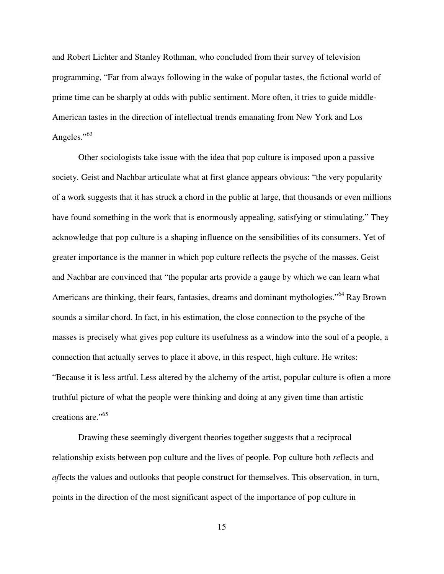and Robert Lichter and Stanley Rothman, who concluded from their survey of television programming, "Far from always following in the wake of popular tastes, the fictional world of prime time can be sharply at odds with public sentiment. More often, it tries to guide middle-American tastes in the direction of intellectual trends emanating from New York and Los Angeles."<sup>63</sup>

Other sociologists take issue with the idea that pop culture is imposed upon a passive society. Geist and Nachbar articulate what at first glance appears obvious: "the very popularity of a work suggests that it has struck a chord in the public at large, that thousands or even millions have found something in the work that is enormously appealing, satisfying or stimulating." They acknowledge that pop culture is a shaping influence on the sensibilities of its consumers. Yet of greater importance is the manner in which pop culture reflects the psyche of the masses. Geist and Nachbar are convinced that "the popular arts provide a gauge by which we can learn what Americans are thinking, their fears, fantasies, dreams and dominant mythologies."<sup>64</sup> Ray Brown sounds a similar chord. In fact, in his estimation, the close connection to the psyche of the masses is precisely what gives pop culture its usefulness as a window into the soul of a people, a connection that actually serves to place it above, in this respect, high culture. He writes: "Because it is less artful. Less altered by the alchemy of the artist, popular culture is often a more truthful picture of what the people were thinking and doing at any given time than artistic creations are."<sup>65</sup>

Drawing these seemingly divergent theories together suggests that a reciprocal relationship exists between pop culture and the lives of people. Pop culture both *re*flects and *af*fects the values and outlooks that people construct for themselves. This observation, in turn, points in the direction of the most significant aspect of the importance of pop culture in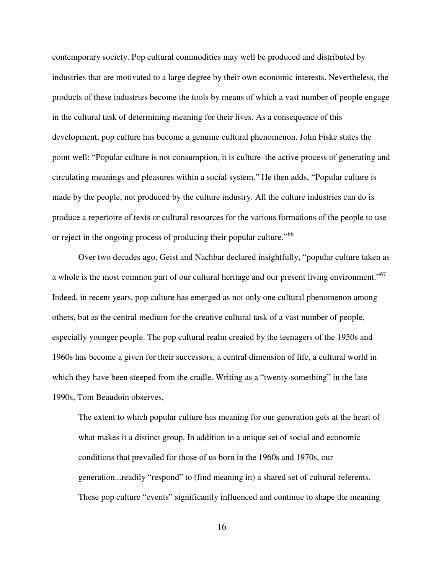contemporary society. Pop cultural commodities may well be produced and distributed by industries that are motivated to a large degree by their own economic interests. Nevertheless, the products of these industries become the tools by means of which a vast number of people engage in the cultural task of determining meaning for their lives. As a consequence of this development, pop culture has become a genuine cultural phenomenon. John Fiske states the point well: "Popular culture is not consumption, it is culture–the active process of generating and circulating meanings and pleasures within a social system." He then adds, "Popular culture is made by the people, not produced by the culture industry. All the culture industries can do is produce a repertoire of texts or cultural resources for the various formations of the people to use or reject in the ongoing process of producing their popular culture."<sup>66</sup>

Over two decades ago, Geist and Nachbar declared insightfully, "popular culture taken as a whole is the most common part of our cultural heritage and our present living environment."<sup>67</sup> Indeed, in recent years, pop culture has emerged as not only one cultural phenomenon among others, but as the central medium for the creative cultural task of a vast number of people, especially younger people. The pop cultural realm created by the teenagers of the 1950s and 1960s has become a given for their successors, a central dimension of life, a cultural world in which they have been steeped from the cradle. Writing as a "twenty-something" in the late 1990s, Tom Beaudoin observes,

The extent to which popular culture has meaning for our generation gets at the heart of what makes it a distinct group. In addition to a unique set of social and economic conditions that prevailed for those of us born in the 1960s and 1970s, our generation...readily "respond" to (find meaning in) a shared set of cultural referents. These pop culture "events" significantly influenced and continue to shape the meaning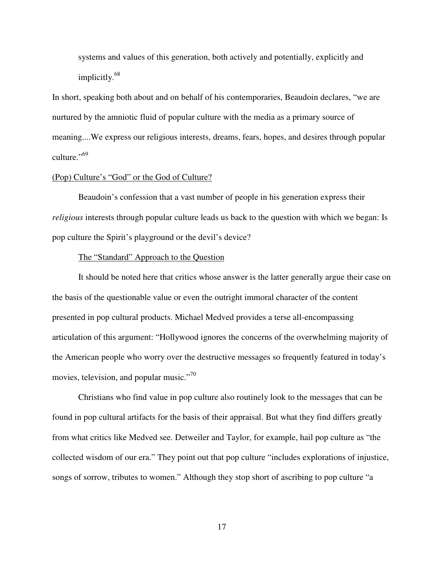systems and values of this generation, both actively and potentially, explicitly and implicitly. 68

In short, speaking both about and on behalf of his contemporaries, Beaudoin declares, "we are nurtured by the amniotic fluid of popular culture with the media as a primary source of meaning....We express our religious interests, dreams, fears, hopes, and desires through popular culture."<sup>69</sup>

## (Pop) Culture's "God" or the God of Culture?

Beaudoin's confession that a vast number of people in his generation express their *religious* interests through popular culture leads us back to the question with which we began: Is pop culture the Spirit's playground or the devil's device?

## The "Standard" Approach to the Question

It should be noted here that critics whose answer is the latter generally argue their case on the basis of the questionable value or even the outright immoral character of the content presented in pop cultural products. Michael Medved provides a terse all-encompassing articulation of this argument: "Hollywood ignores the concerns of the overwhelming majority of the American people who worry over the destructive messages so frequently featured in today's movies, television, and popular music."<sup>70</sup>

Christians who find value in pop culture also routinely look to the messages that can be found in pop cultural artifacts for the basis of their appraisal. But what they find differs greatly from what critics like Medved see. Detweiler and Taylor, for example, hail pop culture as "the collected wisdom of our era." They point out that pop culture "includes explorations of injustice, songs of sorrow, tributes to women." Although they stop short of ascribing to pop culture "a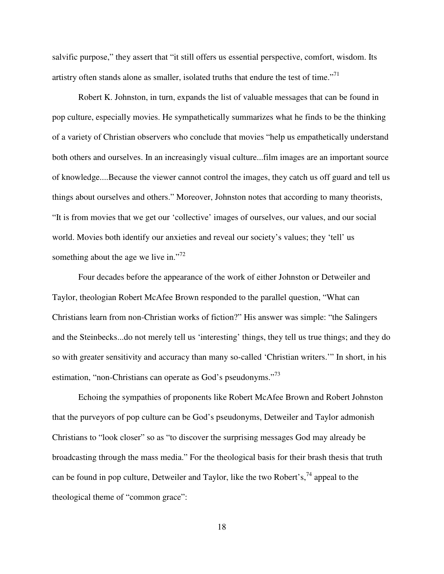salvific purpose," they assert that "it still offers us essential perspective, comfort, wisdom. Its artistry often stands alone as smaller, isolated truths that endure the test of time."<sup>71</sup>

Robert K. Johnston, in turn, expands the list of valuable messages that can be found in pop culture, especially movies. He sympathetically summarizes what he finds to be the thinking of a variety of Christian observers who conclude that movies "help us empathetically understand both others and ourselves. In an increasingly visual culture...film images are an important source of knowledge....Because the viewer cannot control the images, they catch us off guard and tell us things about ourselves and others." Moreover, Johnston notes that according to many theorists, "It is from movies that we get our 'collective' images of ourselves, our values, and our social world. Movies both identify our anxieties and reveal our society's values; they 'tell' us something about the age we live in."<sup>72</sup>

Four decades before the appearance of the work of either Johnston or Detweiler and Taylor, theologian Robert McAfee Brown responded to the parallel question, "What can Christians learn from non-Christian works of fiction?" His answer was simple: "the Salingers and the Steinbecks...do not merely tell us 'interesting' things, they tell us true things; and they do so with greater sensitivity and accuracy than many so-called 'Christian writers.'" In short, in his estimation, "non-Christians can operate as God's pseudonyms."<sup>73</sup>

Echoing the sympathies of proponents like Robert McAfee Brown and Robert Johnston that the purveyors of pop culture can be God's pseudonyms, Detweiler and Taylor admonish Christians to "look closer" so as "to discover the surprising messages God may already be broadcasting through the mass media." For the theological basis for their brash thesis that truth can be found in pop culture, Detweiler and Taylor, like the two Robert's,<sup>74</sup> appeal to the theological theme of "common grace":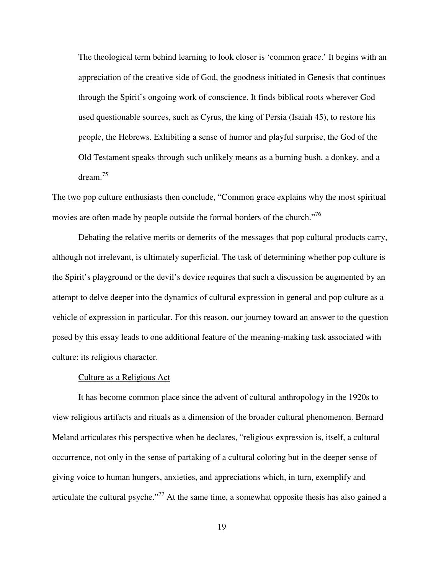The theological term behind learning to look closer is 'common grace.' It begins with an appreciation of the creative side of God, the goodness initiated in Genesis that continues through the Spirit's ongoing work of conscience. It finds biblical roots wherever God used questionable sources, such as Cyrus, the king of Persia (Isaiah 45), to restore his people, the Hebrews. Exhibiting a sense of humor and playful surprise, the God of the Old Testament speaks through such unlikely means as a burning bush, a donkey, and a dream. 75

The two pop culture enthusiasts then conclude, "Common grace explains why the most spiritual movies are often made by people outside the formal borders of the church."<sup>76</sup>

Debating the relative merits or demerits of the messages that pop cultural products carry, although not irrelevant, is ultimately superficial. The task of determining whether pop culture is the Spirit's playground or the devil's device requires that such a discussion be augmented by an attempt to delve deeper into the dynamics of cultural expression in general and pop culture as a vehicle of expression in particular. For this reason, our journey toward an answer to the question posed by this essay leads to one additional feature of the meaning-making task associated with culture: its religious character.

#### Culture as a Religious Act

It has become common place since the advent of cultural anthropology in the 1920s to view religious artifacts and rituals as a dimension of the broader cultural phenomenon. Bernard Meland articulates this perspective when he declares, "religious expression is, itself, a cultural occurrence, not only in the sense of partaking of a cultural coloring but in the deeper sense of giving voice to human hungers, anxieties, and appreciations which, in turn, exemplify and articulate the cultural psyche."<sup>77</sup> At the same time, a somewhat opposite thesis has also gained a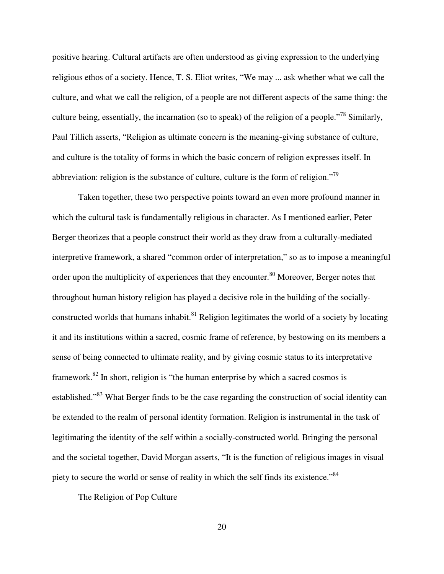positive hearing. Cultural artifacts are often understood as giving expression to the underlying religious ethos of a society. Hence, T. S. Eliot writes, "We may ... ask whether what we call the culture, and what we call the religion, of a people are not different aspects of the same thing: the culture being, essentially, the incarnation (so to speak) of the religion of a people."<sup>78</sup> Similarly, Paul Tillich asserts, "Religion as ultimate concern is the meaning-giving substance of culture, and culture is the totality of forms in which the basic concern of religion expresses itself. In abbreviation: religion is the substance of culture, culture is the form of religion."<sup>79</sup>

Taken together, these two perspective points toward an even more profound manner in which the cultural task is fundamentally religious in character. As I mentioned earlier, Peter Berger theorizes that a people construct their world as they draw from a culturally-mediated interpretive framework, a shared "common order of interpretation," so as to impose a meaningful order upon the multiplicity of experiences that they encounter.<sup>80</sup> Moreover, Berger notes that throughout human history religion has played a decisive role in the building of the sociallyconstructed worlds that humans inhabit.<sup>81</sup> Religion legitimates the world of a society by locating it and its institutions within a sacred, cosmic frame of reference, by bestowing on its members a sense of being connected to ultimate reality, and by giving cosmic status to its interpretative framework.<sup>82</sup> In short, religion is "the human enterprise by which a sacred cosmos is established."<sup>83</sup> What Berger finds to be the case regarding the construction of social identity can be extended to the realm of personal identity formation. Religion is instrumental in the task of legitimating the identity of the self within a socially-constructed world. Bringing the personal and the societal together, David Morgan asserts, "It is the function of religious images in visual piety to secure the world or sense of reality in which the self finds its existence."<sup>84</sup>

## The Religion of Pop Culture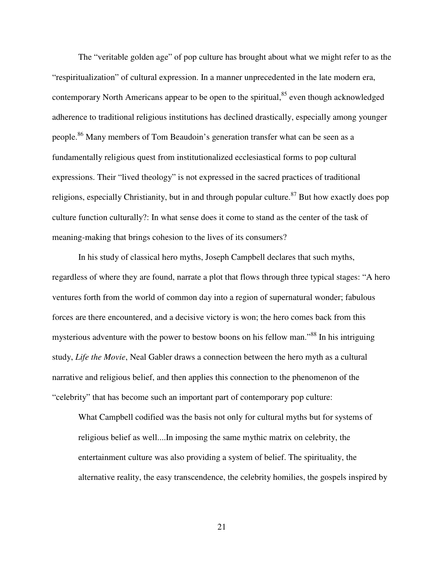The "veritable golden age" of pop culture has brought about what we might refer to as the "respiritualization" of cultural expression. In a manner unprecedented in the late modern era, contemporary North Americans appear to be open to the spiritual,<sup>85</sup> even though acknowledged adherence to traditional religious institutions has declined drastically, especially among younger people.<sup>86</sup> Many members of Tom Beaudoin's generation transfer what can be seen as a fundamentally religious quest from institutionalized ecclesiastical forms to pop cultural expressions. Their "lived theology" is not expressed in the sacred practices of traditional religions, especially Christianity, but in and through popular culture.<sup>87</sup> But how exactly does pop culture function culturally?: In what sense does it come to stand as the center of the task of meaning-making that brings cohesion to the lives of its consumers?

In his study of classical hero myths, Joseph Campbell declares that such myths, regardless of where they are found, narrate a plot that flows through three typical stages: "A hero ventures forth from the world of common day into a region of supernatural wonder; fabulous forces are there encountered, and a decisive victory is won; the hero comes back from this mysterious adventure with the power to bestow boons on his fellow man."<sup>88</sup> In his intriguing study, *Life the Movie*, Neal Gabler draws a connection between the hero myth as a cultural narrative and religious belief, and then applies this connection to the phenomenon of the "celebrity" that has become such an important part of contemporary pop culture:

What Campbell codified was the basis not only for cultural myths but for systems of religious belief as well....In imposing the same mythic matrix on celebrity, the entertainment culture was also providing a system of belief. The spirituality, the alternative reality, the easy transcendence, the celebrity homilies, the gospels inspired by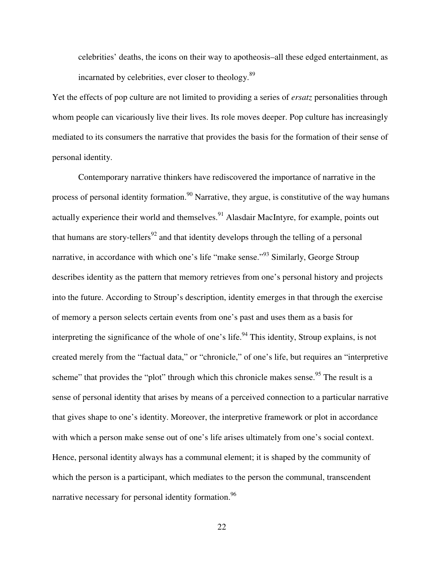celebrities' deaths, the icons on their way to apotheosis–all these edged entertainment, as incarnated by celebrities, ever closer to theology.<sup>89</sup>

Yet the effects of pop culture are not limited to providing a series of *ersatz* personalities through whom people can vicariously live their lives. Its role moves deeper. Pop culture has increasingly mediated to its consumers the narrative that provides the basis for the formation of their sense of personal identity.

Contemporary narrative thinkers have rediscovered the importance of narrative in the process of personal identity formation.<sup>90</sup> Narrative, they argue, is constitutive of the way humans actually experience their world and themselves.<sup>91</sup> Alasdair MacIntyre, for example, points out that humans are story-tellers<sup>92</sup> and that identity develops through the telling of a personal narrative, in accordance with which one's life "make sense."<sup>93</sup> Similarly, George Stroup describes identity as the pattern that memory retrieves from one's personal history and projects into the future. According to Stroup's description, identity emerges in that through the exercise of memory a person selects certain events from one's past and uses them as a basis for interpreting the significance of the whole of one's life.<sup>94</sup> This identity, Stroup explains, is not created merely from the "factual data," or "chronicle," of one's life, but requires an "interpretive scheme" that provides the "plot" through which this chronicle makes sense.<sup>95</sup> The result is a sense of personal identity that arises by means of a perceived connection to a particular narrative that gives shape to one's identity. Moreover, the interpretive framework or plot in accordance with which a person make sense out of one's life arises ultimately from one's social context. Hence, personal identity always has a communal element; it is shaped by the community of which the person is a participant, which mediates to the person the communal, transcendent narrative necessary for personal identity formation.<sup>96</sup>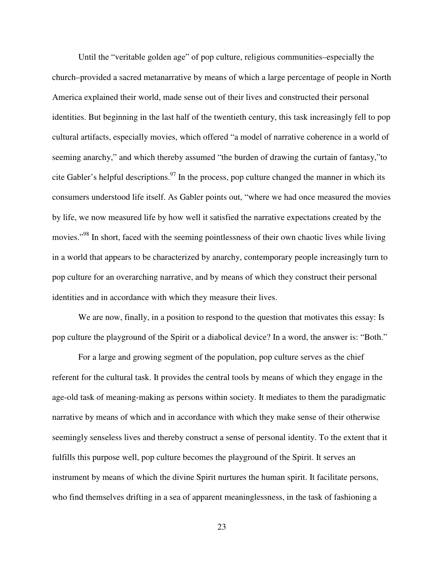Until the "veritable golden age" of pop culture, religious communities–especially the church–provided a sacred metanarrative by means of which a large percentage of people in North America explained their world, made sense out of their lives and constructed their personal identities. But beginning in the last half of the twentieth century, this task increasingly fell to pop cultural artifacts, especially movies, which offered "a model of narrative coherence in a world of seeming anarchy," and which thereby assumed "the burden of drawing the curtain of fantasy,"to cite Gabler's helpful descriptions.<sup>97</sup> In the process, pop culture changed the manner in which its consumers understood life itself. As Gabler points out, "where we had once measured the movies by life, we now measured life by how well it satisfied the narrative expectations created by the movies."<sup>98</sup> In short, faced with the seeming pointlessness of their own chaotic lives while living in a world that appears to be characterized by anarchy, contemporary people increasingly turn to pop culture for an overarching narrative, and by means of which they construct their personal identities and in accordance with which they measure their lives.

We are now, finally, in a position to respond to the question that motivates this essay: Is pop culture the playground of the Spirit or a diabolical device? In a word, the answer is: "Both."

For a large and growing segment of the population, pop culture serves as the chief referent for the cultural task. It provides the central tools by means of which they engage in the age-old task of meaning-making as persons within society. It mediates to them the paradigmatic narrative by means of which and in accordance with which they make sense of their otherwise seemingly senseless lives and thereby construct a sense of personal identity. To the extent that it fulfills this purpose well, pop culture becomes the playground of the Spirit. It serves an instrument by means of which the divine Spirit nurtures the human spirit. It facilitate persons, who find themselves drifting in a sea of apparent meaninglessness, in the task of fashioning a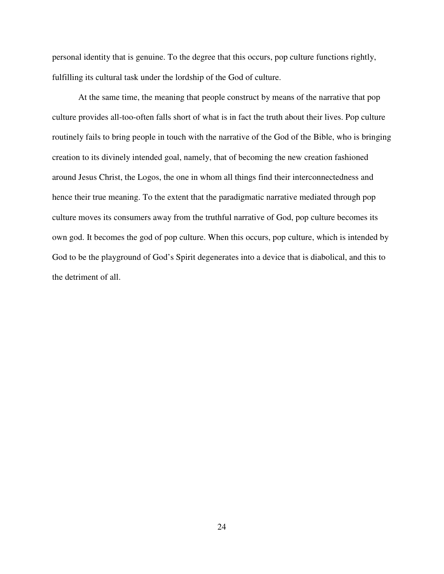personal identity that is genuine. To the degree that this occurs, pop culture functions rightly, fulfilling its cultural task under the lordship of the God of culture.

At the same time, the meaning that people construct by means of the narrative that pop culture provides all-too-often falls short of what is in fact the truth about their lives. Pop culture routinely fails to bring people in touch with the narrative of the God of the Bible, who is bringing creation to its divinely intended goal, namely, that of becoming the new creation fashioned around Jesus Christ, the Logos, the one in whom all things find their interconnectedness and hence their true meaning. To the extent that the paradigmatic narrative mediated through pop culture moves its consumers away from the truthful narrative of God, pop culture becomes its own god. It becomes the god of pop culture. When this occurs, pop culture, which is intended by God to be the playground of God's Spirit degenerates into a device that is diabolical, and this to the detriment of all.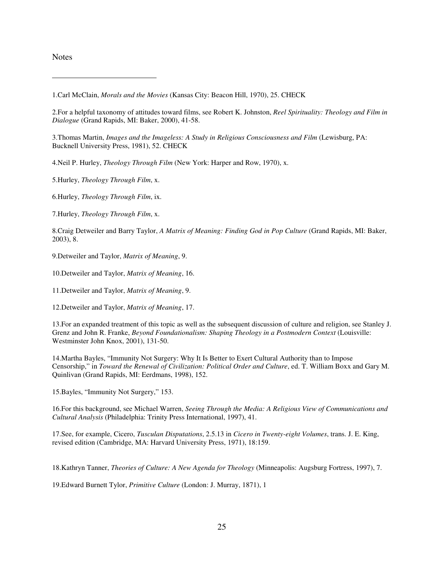**Notes** 

3.Thomas Martin, *Images and the Imageless: A Study in Religious Consciousness and Film* (Lewisburg, PA: Bucknell University Press, 1981), 52. CHECK

4.Neil P. Hurley, *Theology Through Film* (New York: Harper and Row, 1970), x.

5.Hurley, *Theology Through Film*, x.

6.Hurley, *Theology Through Film*, ix.

7.Hurley, *Theology Through Film*, x.

8.Craig Detweiler and Barry Taylor, *A Matrix of Meaning: Finding God in Pop Culture* (Grand Rapids, MI: Baker, 2003), 8.

9.Detweiler and Taylor, *Matrix of Meaning*, 9.

10.Detweiler and Taylor, *Matrix of Meaning*, 16.

11.Detweiler and Taylor, *Matrix of Meaning*, 9.

12.Detweiler and Taylor, *Matrix of Meaning*, 17.

13.For an expanded treatment of this topic as well as the subsequent discussion of culture and religion, see Stanley J. Grenz and John R. Franke, *Beyond Foundationalism: Shaping Theology in a Postmodern Context* (Louisville: Westminster John Knox, 2001), 131-50.

14.Martha Bayles, "Immunity Not Surgery: Why It Is Better to Exert Cultural Authority than to Impose Censorship," in *Toward the Renewal of Civilization: Political Order and Culture*, ed. T. William Boxx and Gary M. Quinlivan (Grand Rapids, MI: Eerdmans, 1998), 152.

15.Bayles, "Immunity Not Surgery," 153.

16.For this background, see Michael Warren, *Seeing Through the Media: A Religious View of Communications and Cultural Analysis* (Philadelphia: Trinity Press International, 1997), 41.

17.See, for example, Cicero, *Tusculan Disputations*, 2.5.13 in *Cicero in Twenty-eight Volumes*, trans. J. E. King, revised edition (Cambridge, MA: Harvard University Press, 1971), 18:159.

18.Kathryn Tanner, *Theories of Culture: A New Agenda for Theology* (Minneapolis: Augsburg Fortress, 1997), 7.

19.Edward Burnett Tylor, *Primitive Culture* (London: J. Murray, 1871), 1

<sup>1.</sup>Carl McClain, *Morals and the Movies* (Kansas City: Beacon Hill, 1970), 25. CHECK

<sup>2.</sup>For a helpful taxonomy of attitudes toward films, see Robert K. Johnston, *Reel Spirituality: Theology and Film in Dialogue* (Grand Rapids, MI: Baker, 2000), 41-58.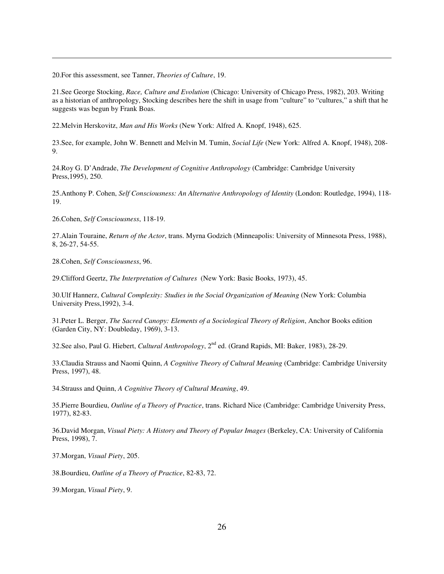20.For this assessment, see Tanner, *Theories of Culture*, 19.

21.See George Stocking, *Race, Culture and Evolution* (Chicago: University of Chicago Press, 1982), 203. Writing as a historian of anthropology, Stocking describes here the shift in usage from "culture" to "cultures," a shift that he suggests was begun by Frank Boas.

22.Melvin Herskovitz, *Man and His Works* (New York: Alfred A. Knopf, 1948), 625.

23.See, for example, John W. Bennett and Melvin M. Tumin, *Social Life* (New York: Alfred A. Knopf, 1948), 208- 9.

24.Roy G. D'Andrade, *The Development of Cognitive Anthropology* (Cambridge: Cambridge University Press,1995), 250.

25.Anthony P. Cohen, *Self Consciousness: An Alternative Anthropology of Identity* (London: Routledge, 1994), 118- 19.

26.Cohen, *Self Consciousness*, 118-19.

27.Alain Touraine, *Return of the Actor*, trans. Myrna Godzich (Minneapolis: University of Minnesota Press, 1988), 8, 26-27, 54-55.

28.Cohen, *Self Consciousness*, 96.

29.Clifford Geertz, *The Interpretation of Cultures* (New York: Basic Books, 1973), 45.

30.Ulf Hannerz, *Cultural Complexity: Studies in the Social Organization of Meaning* (New York: Columbia University Press,1992), 3-4.

31.Peter L. Berger, *The Sacred Canopy: Elements of a Sociological Theory of Religion*, Anchor Books edition (Garden City, NY: Doubleday, 1969), 3-13.

32. See also, Paul G. Hiebert, *Cultural Anthropology*, 2<sup>nd</sup> ed. (Grand Rapids, MI: Baker, 1983), 28-29.

33.Claudia Strauss and Naomi Quinn, *A Cognitive Theory of Cultural Meaning* (Cambridge: Cambridge University Press, 1997), 48.

34.Strauss and Quinn, *A Cognitive Theory of Cultural Meaning*, 49.

35.Pierre Bourdieu, *Outline of a Theory of Practice*, trans. Richard Nice (Cambridge: Cambridge University Press, 1977), 82-83.

36.David Morgan, *Visual Piety: A History and Theory of Popular Images* (Berkeley, CA: University of California Press, 1998), 7.

37.Morgan, *Visual Piety*, 205.

38.Bourdieu, *Outline of a Theory of Practice*, 82-83, 72.

39.Morgan, *Visual Piety*, 9.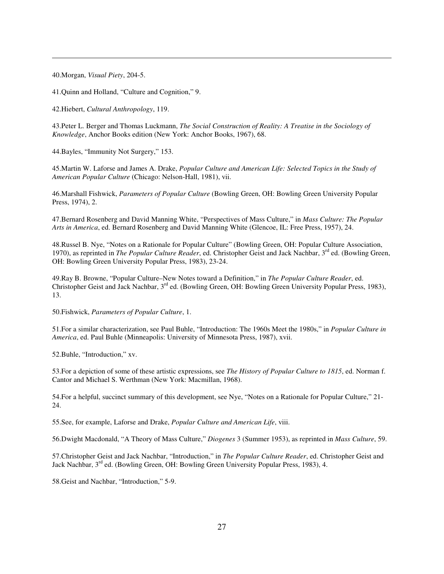40.Morgan, *Visual Piety*, 204-5.

41.Quinn and Holland, "Culture and Cognition," 9.

42.Hiebert, *Cultural Anthropology*, 119.

43.Peter L. Berger and Thomas Luckmann, *The Social Construction of Reality: A Treatise in the Sociology of Knowledge*, Anchor Books edition (New York: Anchor Books, 1967), 68.

44.Bayles, "Immunity Not Surgery," 153.

45.Martin W. Laforse and James A. Drake, *Popular Culture and American Life: Selected Topics in the Study of American Popular Culture* (Chicago: Nelson-Hall, 1981), vii.

46.Marshall Fishwick, *Parameters of Popular Culture* (Bowling Green, OH: Bowling Green University Popular Press, 1974), 2.

47.Bernard Rosenberg and David Manning White, "Perspectives of Mass Culture," in *Mass Culture: The Popular Arts in America*, ed. Bernard Rosenberg and David Manning White (Glencoe, IL: Free Press, 1957), 24.

48.Russel B. Nye, "Notes on a Rationale for Popular Culture" (Bowling Green, OH: Popular Culture Association, 1970), as reprinted in *The Popular Culture Reader*, ed. Christopher Geist and Jack Nachbar, 3<sup>rd</sup> ed. (Bowling Green, OH: Bowling Green University Popular Press, 1983), 23-24.

49.Ray B. Browne, "Popular Culture–New Notes toward a Definition," in *The Popular Culture Reader*, ed. Christopher Geist and Jack Nachbar, 3<sup>rd</sup> ed. (Bowling Green, OH: Bowling Green University Popular Press, 1983), 13.

50.Fishwick, *Parameters of Popular Culture*, 1.

51.For a similar characterization, see Paul Buhle, "Introduction: The 1960s Meet the 1980s," in *Popular Culture in America*, ed. Paul Buhle (Minneapolis: University of Minnesota Press, 1987), xvii.

52.Buhle, "Introduction," xv.

53.For a depiction of some of these artistic expressions, see *The History of Popular Culture to 1815*, ed. Norman f. Cantor and Michael S. Werthman (New York: Macmillan, 1968).

54.For a helpful, succinct summary of this development, see Nye, "Notes on a Rationale for Popular Culture," 21- 24.

55.See, for example, Laforse and Drake, *Popular Culture and American Life*, viii.

56.Dwight Macdonald, "A Theory of Mass Culture," *Diogenes* 3 (Summer 1953), as reprinted in *Mass Culture*, 59.

57.Christopher Geist and Jack Nachbar, "Introduction," in *The Popular Culture Reader*, ed. Christopher Geist and Jack Nachbar, 3<sup>rd</sup> ed. (Bowling Green, OH: Bowling Green University Popular Press, 1983), 4.

58.Geist and Nachbar, "Introduction," 5-9.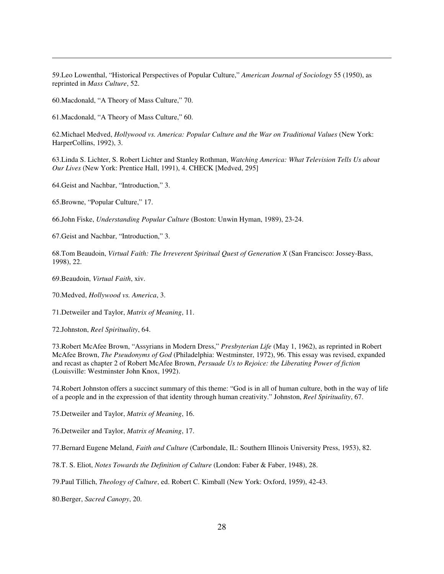59.Leo Lowenthal, "Historical Perspectives of Popular Culture," *American Journal of Sociology* 55 (1950), as reprinted in *Mass Culture*, 52.

60.Macdonald, "A Theory of Mass Culture," 70.

61.Macdonald, "A Theory of Mass Culture," 60.

62.Michael Medved, *Hollywood vs. America: Popular Culture and the War on Traditional Values* (New York: HarperCollins, 1992), 3.

63.Linda S. Lichter, S. Robert Lichter and Stanley Rothman, *Watching America: What Television Tells Us about Our Lives* (New York: Prentice Hall, 1991), 4. CHECK [Medved, 295]

64.Geist and Nachbar, "Introduction," 3.

65.Browne, "Popular Culture," 17.

66.John Fiske, *Understanding Popular Culture* (Boston: Unwin Hyman, 1989), 23-24.

67.Geist and Nachbar, "Introduction," 3.

68.Tom Beaudoin, *Virtual Faith: The Irreverent Spiritual Quest of Generation X* (San Francisco: Jossey-Bass, 1998), 22.

69.Beaudoin, *Virtual Faith*, xiv.

70.Medved, *Hollywood vs. America*, 3.

71.Detweiler and Taylor, *Matrix of Meaning*, 11.

72.Johnston, *Reel Spirituality*, 64.

73.Robert McAfee Brown, "Assyrians in Modern Dress," *Presbyterian Life* (May 1, 1962), as reprinted in Robert McAfee Brown, *The Pseudonyms of God* (Philadelphia: Westminster, 1972), 96. This essay was revised, expanded and recast as chapter 2 of Robert McAfee Brown, *Persuade Us to Rejoice: the Liberating Power of fiction* (Louisville: Westminster John Knox, 1992).

74.Robert Johnston offers a succinct summary of this theme: "God is in all of human culture, both in the way of life of a people and in the expression of that identity through human creativity." Johnston, *Reel Spirituality*, 67.

75.Detweiler and Taylor, *Matrix of Meaning*, 16.

76.Detweiler and Taylor, *Matrix of Meaning*, 17.

77.Bernard Eugene Meland, *Faith and Culture* (Carbondale, IL: Southern Illinois University Press, 1953), 82.

78.T. S. Eliot, *Notes Towards the Definition of Culture* (London: Faber & Faber, 1948), 28.

79.Paul Tillich, *Theology of Culture*, ed. Robert C. Kimball (New York: Oxford, 1959), 42-43.

80.Berger, *Sacred Canopy*, 20.